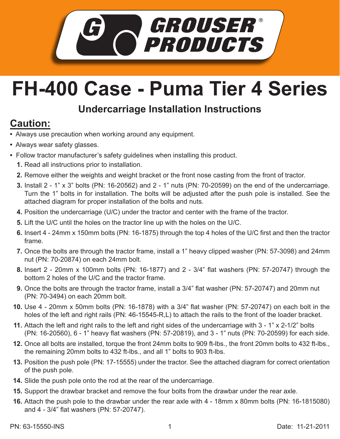

## **FH-400 Case - Puma Tier 4 Series**

## **Undercarriage Installation Instructions**

## **Caution:**

- Always use precaution when working around any equipment.
- Always wear safety glasses.
- Follow tractor manufacturer's safety guidelines when installing this product.
	- **1.** Read all instructions prior to installation.
	- **2.** Remove either the weights and weight bracket or the front nose casting from the front of tractor.
	- Install 2 1" x 3" bolts (PN: 16-20562) and 2 1" nuts (PN: 70-20599) on the end of the undercarriage. **3.** Turn the 1" bolts in for installation. The bolts will be adjusted after the push pole is installed. See the attached diagram for proper installation of the bolts and nuts.
	- **4.** Position the undercarriage (U/C) under the tractor and center with the frame of the tractor.
	- **5.** Lift the U/C until the holes on the tractor line up with the holes on the U/C.
	- **6.** Insert 4 24mm x 150mm bolts (PN: 16-1875) through the top 4 holes of the U/C first and then the tractor frame.
	- 7. Once the bolts are through the tractor frame, install a 1" heavy clipped washer (PN: 57-3098) and 24mm nut (PN: 70-20874) on each 24mm bolt.
	- Insert 2 20mm x 100mm bolts (PN: 16-1877) and 2 3/4" flat washers (PN: 57-20747) through the **8.** bottom 2 holes of the U/C and the tractor frame.
	- **9.** Once the bolts are through the tractor frame, install a 3/4" flat washer (PN: 57-20747) and 20mm nut (PN: 70-3494) on each 20mm bolt.
	- Use 4 20mm x 50mm bolts (PN: 16-1878) with a 3/4" flat washer (PN: 57-20747) on each bolt in the **10.** holes of the left and right rails (PN: 46-15545-R,L) to attach the rails to the front of the loader bracket.
	- Attach the left and right rails to the left and right sides of the undercarriage with 3 1" x 2-1/2" bolts **11.** (PN: 16-20560), 6 - 1" heavy flat washers (PN: 57-20819), and 3 - 1" nuts (PN: 70-20599) for each side.
	- 12. Once all bolts are installed, torque the front 24mm bolts to 909 ft-lbs., the front 20mm bolts to 432 ft-lbs., the remaining 20mm bolts to 432 ft-lbs., and all 1" bolts to 903 ft-lbs.
	- **13.** Position the push pole (PN: 17-15555) under the tractor. See the attached diagram for correct orientation of the push pole.
	- **14.** Slide the push pole onto the rod at the rear of the undercarriage.
- **15.** Support the drawbar bracket and remove the four bolts from the drawbar under the rear axle.
- Attach the push pole to the drawbar under the rear axle with 4 18mm x 80mm bolts (PN: 16-1815080) **16.** and 4 - 3/4" flat washers (PN: 57-20747).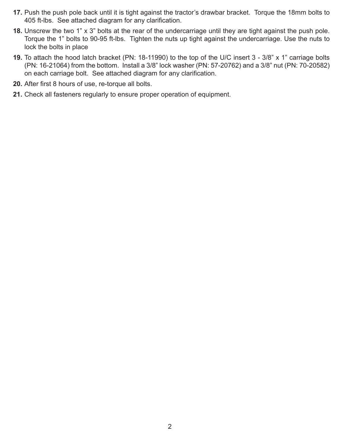- 17. Push the push pole back until it is tight against the tractor's drawbar bracket. Torque the 18mm bolts to 405 ft-lbs. See attached diagram for any clarification.
- Unscrew the two 1" x 3" bolts at the rear of the undercarriage until they are tight against the push pole. **18.** Torque the 1" bolts to 90-95 ft-lbs. Tighten the nuts up tight against the undercarriage. Use the nuts to lock the bolts in place
- **19.** To attach the hood latch bracket (PN: 18-11990) to the top of the U/C insert 3 3/8" x 1" carriage bolts (PN: 16-21064) from the bottom. Install a 3/8" lock washer (PN: 57-20762) and a 3/8" nut (PN: 70-20582) on each carriage bolt. See attached diagram for any clarification.
- **20.** After first 8 hours of use, re-torque all bolts.
- Check all fasteners regularly to ensure proper operation of equipment. **21.**